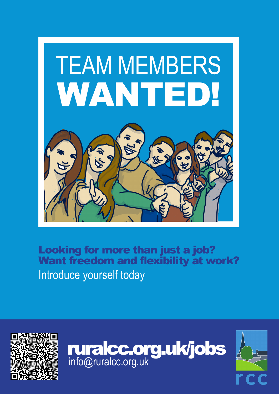

Looking for more than just a job? Want freedom and flexibility at work? Introduce yourself today





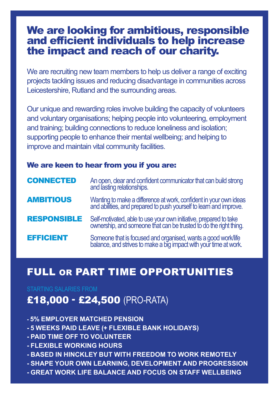## We are looking for ambitious, responsible and efficient individuals to help increase the impact and reach of our charity.

We are recruiting new team members to help us deliver a range of exciting projects tackling issues and reducing disadvantage in communities across Leicestershire, Rutland and the surrounding areas.

Our unique and rewarding roles involve building the capacity of volunteers and voluntary organisations; helping people into volunteering, employment and training; building connections to reduce loneliness and isolation; supporting people to enhance their mental wellbeing; and helping to improve and maintain vital community facilities.

#### We are keen to hear from you if you are:

| <b>CONNECTED</b>   | An open, clear and confident communicator that can build strong<br>and lasting relationships.                                           |
|--------------------|-----------------------------------------------------------------------------------------------------------------------------------------|
| <b>AMBITIOUS</b>   | Wanting to make a difference at work, confident in your own ideas<br>and abilities, and prepared to push yourself to learn and improve. |
| <b>RESPONSIBLE</b> | Self-motivated, able to use your own initiative, prepared to take<br>ownership, and someone that can be trusted to do the right thing.  |
| <b>EFFICIENT</b>   | Someone that is focused and organised, wants a good work/life balance, and strives to make a big impact with your time at work.         |

## FULL OR PART TIME OPPORTUNITIES

#### STARTING SALARIES FROM

## £18,000 - £24,500 (PRO-RATA)

- **5% EMPLOYER MATCHED PENSION**
- **5 WEEKS PAID LEAVE (+ FLEXIBLE BANK HOLIDAYS)**
- **PAID TIME OFF TO VOLUNTEER**
- **FLEXIBLE WORKING HOURS**
- **BASED IN HINCKLEY BUT WITH FREEDOM TO WORK REMOTELY**
- **SHAPE YOUR OWN LEARNING, DEVELOPMENT AND PROGRESSION**
- **GREAT WORK LIFE BALANCE AND FOCUS ON STAFF WELLBEING**